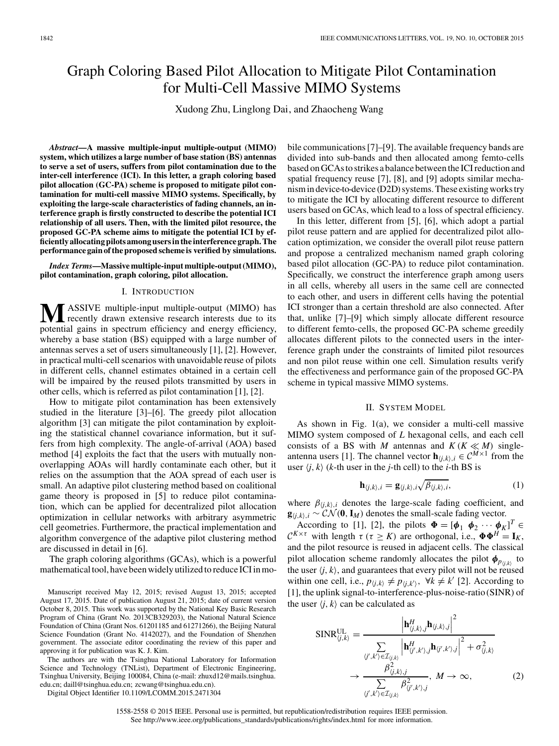# Graph Coloring Based Pilot Allocation to Mitigate Pilot Contamination for Multi-Cell Massive MIMO Systems

Xudong Zhu, Linglong Dai, and Zhaocheng Wang

*Abstract***—A massive multiple-input multiple-output (MIMO) system, which utilizes a large number of base station (BS) antennas to serve a set of users, suffers from pilot contamination due to the inter-cell interference (ICI). In this letter, a graph coloring based pilot allocation (GC-PA) scheme is proposed to mitigate pilot contamination for multi-cell massive MIMO systems. Specifically, by exploiting the large-scale characteristics of fading channels, an interference graph is firstly constructed to describe the potential ICI relationship of all users. Then, with the limited pilot resource, the proposed GC-PA scheme aims to mitigate the potential ICI by efficiently allocating pilots among users in the interference graph. The performance gain of the proposed scheme is verified by simulations.**

*Index Terms***—Massive multiple-input multiple-output(MIMO), pilot contamination, graph coloring, pilot allocation.**

## I. INTRODUCTION

**M**ASSIVE multiple-input multiple-output (MIMO) has recently drawn extensive research interests due to its potential gains in spectrum efficiency and energy efficiency, whereby a base station (BS) equipped with a large number of antennas serves a set of users simultaneously [1], [2]. However, in practical multi-cell scenarios with unavoidable reuse of pilots in different cells, channel estimates obtained in a certain cell will be impaired by the reused pilots transmitted by users in other cells, which is referred as pilot contamination [1], [2].

How to mitigate pilot contamination has been extensively studied in the literature [3]–[6]. The greedy pilot allocation algorithm [3] can mitigate the pilot contamination by exploiting the statistical channel covariance information, but it suffers from high complexity. The angle-of-arrival (AOA) based method [4] exploits the fact that the users with mutually nonoverlapping AOAs will hardly contaminate each other, but it relies on the assumption that the AOA spread of each user is small. An adaptive pilot clustering method based on coalitional game theory is proposed in [5] to reduce pilot contamination, which can be applied for decentralized pilot allocation optimization in cellular networks with arbitrary asymmetric cell geometries. Furthermore, the practical implementation and algorithm convergence of the adaptive pilot clustering method are discussed in detail in [6].

The graph coloring algorithms (GCAs), which is a powerful mathematical tool, have been widely utilized to reduce ICI in mo-

Manuscript received May 12, 2015; revised August 13, 2015; accepted August 17, 2015. Date of publication August 21, 2015; date of current version October 8, 2015. This work was supported by the National Key Basic Research Program of China (Grant No. 2013CB329203), the National Natural Science Foundation of China (Grant Nos. 61201185 and 61271266), the Beijing Natural Science Foundation (Grant No. 4142027), and the Foundation of Shenzhen government. The associate editor coordinating the review of this paper and approving it for publication was K. J. Kim.

The authors are with the Tsinghua National Laboratory for Information Science and Technology (TNList), Department of Electronic Engineering, Tsinghua University, Beijing 100084, China (e-mail: zhuxd12@mails.tsinghua. edu.cn; daill@tsinghua.edu.cn; zcwang@tsinghua.edu.cn).

Digital Object Identifier 10.1109/LCOMM.2015.2471304

bile communications [7]–[9]. The available frequency bands are divided into sub-bands and then allocated among femto-cells based on GCAsto strikes a balance betweenthe ICI reduction and spatial frequency reuse [7], [8], and [9] adopts similar mechanismin device-to-device (D2D) systems. These existing workstry to mitigate the ICI by allocating different resource to different users based on GCAs, which lead to a loss of spectral efficiency.

In this letter, different from [5], [6], which adopt a partial pilot reuse pattern and are applied for decentralized pilot allocation optimization, we consider the overall pilot reuse pattern and propose a centralized mechanism named graph coloring based pilot allocation (GC-PA) to reduce pilot contamination. Specifically, we construct the interference graph among users in all cells, whereby all users in the same cell are connected to each other, and users in different cells having the potential ICI stronger than a certain threshold are also connected. After that, unlike [7]–[9] which simply allocate different resource to different femto-cells, the proposed GC-PA scheme greedily allocates different pilots to the connected users in the interference graph under the constraints of limited pilot resources and non pilot reuse within one cell. Simulation results verify the effectiveness and performance gain of the proposed GC-PA scheme in typical massive MIMO systems.

## II. SYSTEM MODEL

As shown in Fig. 1(a), we consider a multi-cell massive MIMO system composed of *L* hexagonal cells, and each cell consists of a BS with *M* antennas and  $K(K \ll M)$  singleantenna users [1]. The channel vector  $\mathbf{h}_{i,k}$ ,  $i \in \mathbb{C}^{M \times 1}$  from the user  $\langle j, k \rangle$  (*k*-th user in the *j*-th cell) to the *i*-th BS is

$$
\mathbf{h}_{\langle j,k\rangle,i} = \mathbf{g}_{\langle j,k\rangle,i} \sqrt{\beta_{\langle j,k\rangle,i}},\tag{1}
$$

where  $\beta_{\langle i,k \rangle,i}$  denotes the large-scale fading coefficient, and **g**<sub>*i*</sub>,*k*<sub>)</sub>,*i* ∼  $\mathcal{CN}(\mathbf{0}, \mathbf{I}_M)$  denotes the small-scale fading vector.

According to [1], [2], the pilots  $\mathbf{\Phi} = [\mathbf{\phi}_1 \ \mathbf{\phi}_2 \cdots \mathbf{\phi}_K]^T \in$  $\mathcal{C}^{K \times \tau}$  with length  $\tau$  ( $\tau \geq K$ ) are orthogonal, i.e.,  $\Phi \Phi^H = \mathbf{I}_K$ , and the pilot resource is reused in adjacent cells. The classical pilot allocation scheme randomly allocates the pilot  $\phi_{p_{(i,k)}}$  to the user  $\langle j, k \rangle$ , and guarantees that every pilot will not be reused within one cell, i.e.,  $p_{\langle j,k \rangle} \neq p_{\langle j,k' \rangle}$ ,  $\forall k \neq k'$  [2]. According to [1], the uplink signal-to-interference-plus-noise-ratio (SINR) of the user  $\langle j, k \rangle$  can be calculated as

$$
SINR_{\langle j,k \rangle}^{UL} = \frac{\left| \mathbf{h}_{\langle j,k \rangle,j}^{H} \mathbf{h}_{\langle j,k \rangle,j} \right|^{2}}{\sum\limits_{\langle j',k' \rangle \in \mathcal{I}_{\langle j,k \rangle}} \left| \mathbf{h}_{\langle j',k' \rangle,j}^{H} \mathbf{h}_{\langle j',k' \rangle,j} \right|^{2} + \sigma_{\langle j,k \rangle}^{2}} \times \frac{\beta_{\langle j,k \rangle,j}^{2}}{\sum\limits_{\langle j',k' \rangle \in \mathcal{I}_{\langle j,k \rangle}} \beta_{\langle j',k' \rangle,j}^{2}}, \ M \to \infty,
$$
\n(2)

## 1558-2558 © 2015 IEEE. Personal use is permitted, but republication/redistribution requires IEEE permission. See http://www.ieee.org/publications\_standards/publications/rights/index.html for more information.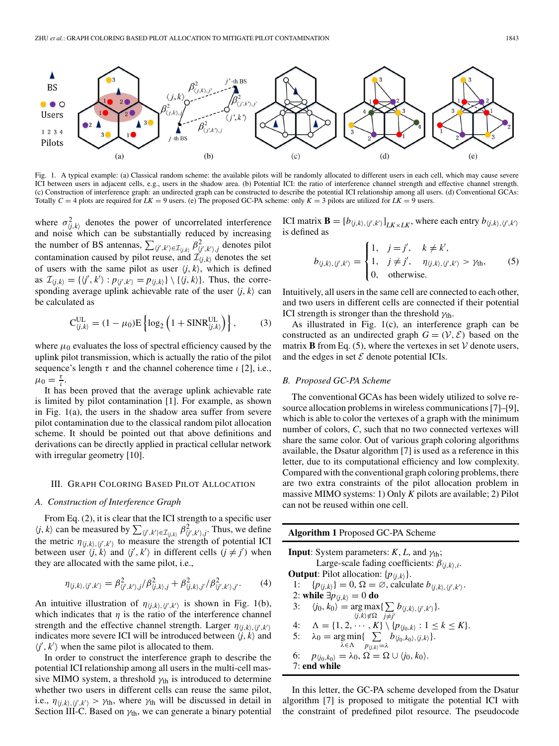

Fig. 1. A typical example: (a) Classical random scheme: the available pilots will be randomly allocated to different users in each cell, which may cause severe ICI between users in adjacent cells, e.g., users in the shadow area. (b) Potential ICI: the ratio of interference channel strength and effective channel strength. (c) Construction of interference graph: an undirected graph can be constructed to describe the potential ICI relationship among all users. (d) Conventional GCAs: Totally  $C = 4$  plots are required for  $LK = 9$  users. (e) The proposed GC-PA scheme: only  $K = 3$  pilots are utilized for  $LK = 9$  users.

where  $\sigma_{\langle j,k \rangle}^2$  denotes the power of uncorrelated interference and noise which can be substantially reduced by increasing the number of BS antennas,  $\sum_{\langle j',k'\rangle \in \mathcal{I}_{\langle j,k\rangle}} \beta_{\langle j',k'\rangle,j}^2$  denotes pilot contamination caused by pilot reuse, and  $\mathcal{I}_{(j,k)}$  denotes the set of users with the same pilot as user  $\langle j, k \rangle$ , which is defined as  $\mathcal{I}_{\langle j,k \rangle} = \{ \langle j', k' \rangle : p_{\langle j',k' \rangle} = p_{\langle j,k \rangle} \} \setminus \{ \langle j,k \rangle \}.$  Thus, the corresponding average uplink achievable rate of the user  $\langle j, k \rangle$  can be calculated as

$$
C_{\langle j,k\rangle}^{UL} = (1 - \mu_0) E \left\{ \log_2 \left( 1 + \text{SINR}_{\langle j,k\rangle}^{UL} \right) \right\},\tag{3}
$$

where  $\mu_0$  evaluates the loss of spectral efficiency caused by the uplink pilot transmission, which is actually the ratio of the pilot sequence's length  $\tau$  and the channel coherence time  $\iota$  [2], i.e.,  $\mu_0 = \frac{\tau}{l}$ .

It has been proved that the average uplink achievable rate is limited by pilot contamination [1]. For example, as shown in Fig. 1(a), the users in the shadow area suffer from severe pilot contamination due to the classical random pilot allocation scheme. It should be pointed out that above definitions and derivations can be directly applied in practical cellular network with irregular geometry [10].

#### III. GRAPH COLORING BASED PILOT ALLOCATION

## *A. Construction of Interference Graph*

From Eq. (2), it is clear that the ICI strength to a specific user  $\langle j, k \rangle$  can be measured by  $\sum_{(j',k') \in \mathcal{I}_{(j,k)}} \beta_{(j',k')j}^2$ . Thus, we define the metric  $\eta_{\langle j,k \rangle, \langle j',k' \rangle}$  to measure the strength of potential ICI between user  $\langle j, k \rangle$  and  $\langle j', k' \rangle$  in different cells  $(j \neq j')$  when they are allocated with the same pilot, i.e.,

$$
\eta_{\langle j,k\rangle,\langle j',k'\rangle} = \beta_{\langle j',k'\rangle,j}^2 / \beta_{\langle j,k\rangle,j}^2 + \beta_{\langle j,k\rangle,j'}^2 / \beta_{\langle j',k'\rangle,j'}^2.
$$
 (4)

An intuitive illustration of  $\eta_{\langle j,k \rangle, \langle j',k' \rangle}$  is shown in Fig. 1(b), which indicates that  $\eta$  is the ratio of the interference channel strength and the effective channel strength. Larger  $\eta_{\langle j,k \rangle, \langle j',k' \rangle}$ indicates more severe ICI will be introduced between  $\langle j, k \rangle$  and  $\langle j', k' \rangle$  when the same pilot is allocated to them.

In order to construct the interference graph to describe the potential ICI relationship among all users in the multi-cell massive MIMO system, a threshold  $\gamma_{th}$  is introduced to determine whether two users in different cells can reuse the same pilot, i.e.,  $\eta_{\langle j,k \rangle, \langle j',k' \rangle} > \gamma_{\text{th}}$ , where  $\gamma_{\text{th}}$  will be discussed in detail in Section III-C. Based on  $\gamma_{th}$ , we can generate a binary potential

ICI matrix **B** =  $[b_{\langle j,k \rangle, \langle j',k' \rangle}]_{LK \times LK}$ , where each entry  $b_{\langle j,k \rangle, \langle j',k' \rangle}$ is defined as

$$
b_{\langle j,k\rangle,\langle j',k'\rangle} = \begin{cases} 1, & j=j', \quad k \neq k', \\ 1, & j \neq j', \quad \eta_{\langle j,k\rangle,\langle j',k'\rangle} > \gamma_{\text{th}}, \\ 0, & \text{otherwise.} \end{cases}
$$
 (5)

Intuitively, all users in the same cell are connected to each other, and two users in different cells are connected if their potential ICI strength is stronger than the threshold  $\gamma_{\text{th}}$ .

As illustrated in Fig. 1(c), an interference graph can be constructed as an undirected graph  $G = (\mathcal{V}, \mathcal{E})$  based on the matrix **B** from Eq. (5), where the vertexes in set  $V$  denote users, and the edges in set  $\mathcal E$  denote potential ICIs.

## *B. Proposed GC-PA Scheme*

The conventional GCAs has been widely utilized to solve resource allocation problems in wireless communications [7]–[9], which is able to color the vertexes of a graph with the minimum number of colors, *C*, such that no two connected vertexes will share the same color. Out of various graph coloring algorithms available, the Dsatur algorithm [7] is used as a reference in this letter, due to its computational efficiency and low complexity. Compared with the conventional graph coloring problems, there are two extra constraints of the pilot allocation problem in massive MIMO systems: 1) Only *K* pilots are available; 2) Pilot can not be reused within one cell.

| <b>Algorithm 1</b> Proposed GC-PA Scheme                                                                           |
|--------------------------------------------------------------------------------------------------------------------|
| <b>Input:</b> System parameters: $K$ , $L$ , and $\gamma_{th}$ ;                                                   |
| Large-scale fading coefficients: $\beta_{(i,k),i}$ .                                                               |
| <b>Output:</b> Pilot allocation: $\{p_{\langle i,k \rangle}\}.$                                                    |
| 1: $\{p_{\langle i,k \rangle}\}=0, \Omega=\emptyset$ , calculate $b_{\langle i,k \rangle,\langle i',k' \rangle}$ . |
| 2: while $\exists p_{\langle i,k \rangle} = 0$ do                                                                  |
| $\langle j_0, k_0 \rangle = \arg \max \{ \sum b_{\langle i,k \rangle, \langle i',k' \rangle} \}.$<br>3:            |
| $\langle i,k \rangle \notin \Omega$ $i \neq i'$                                                                    |
| 4: $\Lambda = \{1, 2, \cdots, K\} \setminus \{p_{\langle i_0, k \rangle} : 1 \le k \le K\}.$                       |
| 5: $\lambda_0 = \arg \min \{ \sum b_{\langle i_0, k_0 \rangle, \langle i, k \rangle} \}.$                          |
| $\lambda \in \Lambda$ $p_{\langle i,k \rangle} = \lambda$                                                          |
| $p_{\langle i_0,k_0\rangle} = \lambda_0, \Omega = \Omega \cup \langle i_0, k_0\rangle.$<br>6:                      |
| $7:$ end while                                                                                                     |
|                                                                                                                    |

In this letter, the GC-PA scheme developed from the Dsatur algorithm [7] is proposed to mitigate the potential ICI with the constraint of predefined pilot resource. The pseudocode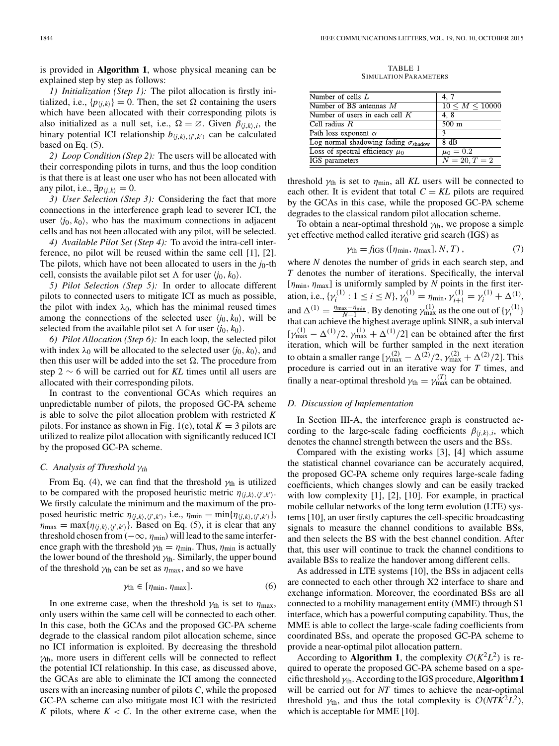is provided in **Algorithm 1**, whose physical meaning can be explained step by step as follows:

*1) Initialization (Step 1):* The pilot allocation is firstly initialized, i.e.,  $\{p_{\langle j,k \rangle}\} = 0$ . Then, the set  $\Omega$  containing the users which have been allocated with their corresponding pilots is also initialized as a null set, i.e.,  $\Omega = \emptyset$ . Given  $\beta_{(i,k),i}$ , the binary potential ICI relationship  $b_{(j,k), (j',k')}$  can be calculated based on Eq. (5).

*2) Loop Condition (Step 2):* The users will be allocated with their corresponding pilots in turns, and thus the loop condition is that there is at least one user who has not been allocated with any pilot, i.e.,  $\exists p_{\langle i,k \rangle} = 0$ .

*3) User Selection (Step 3):* Considering the fact that more connections in the interference graph lead to severer ICI, the user  $\langle i_0, k_0 \rangle$ , who has the maximum connections in adjacent cells and has not been allocated with any pilot, will be selected.

*4) Available Pilot Set (Step 4):* To avoid the intra-cell interference, no pilot will be reused within the same cell [1], [2]. The pilots, which have not been allocated to users in the  $j_0$ -th cell, consists the available pilot set  $\Lambda$  for user  $\langle j_0, k_0 \rangle$ .

*5) Pilot Selection (Step 5):* In order to allocate different pilots to connected users to mitigate ICI as much as possible, the pilot with index  $\lambda_0$ , which has the minimal reused times among the connections of the selected user  $\langle j_0, k_0 \rangle$ , will be selected from the available pilot set  $\Lambda$  for user  $\langle j_0, k_0 \rangle$ .

*6) Pilot Allocation (Step 6):* In each loop, the selected pilot with index  $\lambda_0$  will be allocated to the selected user  $\langle i_0, k_0 \rangle$ , and then this user will be added into the set  $\Omega$ . The procedure from step 2 ∼ 6 will be carried out for *KL* times until all users are allocated with their corresponding pilots.

In contrast to the conventional GCAs which requires an unpredictable number of pilots, the proposed GC-PA scheme is able to solve the pilot allocation problem with restricted *K* pilots. For instance as shown in Fig. 1(e), total  $K = 3$  pilots are utilized to realize pilot allocation with significantly reduced ICI by the proposed GC-PA scheme.

# *C. Analysis of Threshold* γ*th*

From Eq. (4), we can find that the threshold  $\gamma_{th}$  is utilized to be compared with the proposed heuristic metric  $\eta_{\langle j,k \rangle, \langle j',k' \rangle}$ . We firstly calculate the minimum and the maximum of the proposed heuristic metric  $\eta_{(j,k), (j',k')}$ , i.e.,  $\eta_{\min} = \min{\{\eta_{(j,k), (j',k')}\}}$ ,  $\eta_{\text{max}} = \max\{\eta_{\langle j,k \rangle, \langle j',k' \rangle}\}.$  Based on Eq. (5), it is clear that any threshold chosen from ( $-\infty$ ,  $\eta_{\text{min}}$ ) will lead to the same interference graph with the threshold  $\gamma_{\text{th}} = \eta_{\text{min}}$ . Thus,  $\eta_{\text{min}}$  is actually the lower bound of the threshold  $\gamma_{th}$ . Similarly, the upper bound of the threshold  $\gamma_{\text{th}}$  can be set as  $\eta_{\text{max}}$ , and so we have

$$
\gamma_{\text{th}} \in [\eta_{\min}, \eta_{\max}]. \tag{6}
$$

In one extreme case, when the threshold  $\gamma_{\text{th}}$  is set to  $\eta_{\text{max}}$ , only users within the same cell will be connected to each other. In this case, both the GCAs and the proposed GC-PA scheme degrade to the classical random pilot allocation scheme, since no ICI information is exploited. By decreasing the threshold  $\gamma_{th}$ , more users in different cells will be connected to reflect the potential ICI relationship. In this case, as discussed above, the GCAs are able to eliminate the ICI among the connected users with an increasing number of pilots *C*, while the proposed GC-PA scheme can also mitigate most ICI with the restricted *K* pilots, where  $K < C$ . In the other extreme case, when the

TABLE I SIMULATION PARAMETERS

| Number of cells $L$                                  | 4, 7                   |
|------------------------------------------------------|------------------------|
| Number of BS antennas $M$                            | $10 \leq M \leq 10000$ |
| Number of users in each cell $K$                     | 4.8                    |
| Cell radius $R$                                      | 500 m                  |
| Path loss exponent $\alpha$                          | $\mathcal{R}$          |
| Log normal shadowing fading $\sigma_{\text{shadow}}$ | 8 dB                   |
| Loss of spectral efficiency $\mu_0$                  | $\mu_0 = 0.2$          |
| IGS parameters                                       | $N = 20, T = 2$        |
|                                                      |                        |

threshold  $\gamma_{\text{th}}$  is set to  $\eta_{\text{min}}$ , all KL users will be connected to each other. It is evident that total  $C = KL$  pilots are required by the GCAs in this case, while the proposed GC-PA scheme degrades to the classical random pilot allocation scheme.

To obtain a near-optimal threshold  $\gamma_{th}$ , we propose a simple yet effective method called iterative grid search (IGS) as

$$
\gamma_{\text{th}} = f_{\text{IGS}}\left( [\eta_{\text{min}}, \eta_{\text{max}}], N, T \right),\tag{7}
$$

where *N* denotes the number of grids in each search step, and *T* denotes the number of iterations. Specifically, the interval  $[\eta_{\min}, \eta_{\max}]$  is uniformly sampled by *N* points in the first iteration, i.e.,  $\{\gamma_i^{(1)} : 1 \le i \le N\}, \gamma_0^{(1)} = \eta_{\min}, \gamma_{i+1}^{(1)} = \gamma_i^{(1)} + \Delta^{(1)},$ and  $\Delta^{(1)} = \frac{\eta_{\text{max}} - \eta_{\text{min}}}{N-1}$ . By denoting  $\gamma_{\text{max}}^{(1)}$  as the one out of  $\{\gamma_i^{(1)}\}$ that can achieve the highest average uplink SINR, a sub interval  $[\gamma_{\text{max}}^{(1)} - \Delta^{(1)}/2, \gamma_{\text{max}}^{(1)} + \Delta^{(1)}/2]$  can be obtained after the first iteration, which will be further sampled in the next iteration to obtain a smaller range  $[\gamma^{(2)}_{\text{max}} - \Delta^{(2)}/2, \gamma^{(2)}_{\text{max}} + \Delta^{(2)}/2]$ . This procedure is carried out in an iterative way for *T* times, and finally a near-optimal threshold  $\gamma_{\text{th}} = \gamma_{\text{max}}^{(T)}$  can be obtained.

## *D. Discussion of Implementation*

In Section III-A, the interference graph is constructed according to the large-scale fading coefficients  $\beta_{i,k}$ ,*i*, which denotes the channel strength between the users and the BSs.

Compared with the existing works [3], [4] which assume the statistical channel covariance can be accurately acquired, the proposed GC-PA scheme only requires large-scale fading coefficients, which changes slowly and can be easily tracked with low complexity [1], [2], [10]. For example, in practical mobile cellular networks of the long term evolution (LTE) systems [10], an user firstly captures the cell-specific broadcasting signals to measure the channel conditions to available BSs, and then selects the BS with the best channel condition. After that, this user will continue to track the channel conditions to available BSs to realize the handover among different cells.

As addressed in LTE systems [10], the BSs in adjacent cells are connected to each other through X2 interface to share and exchange information. Moreover, the coordinated BSs are all connected to a mobility management entity (MME) through S1 interface, which has a powerful computing capability. Thus, the MME is able to collect the large-scale fading coefficients from coordinated BSs, and operate the proposed GC-PA scheme to provide a near-optimal pilot allocation pattern.

According to **Algorithm 1**, the complexity  $O(K^2L^2)$  is required to operate the proposed GC-PA scheme based on a specific threshold  $\gamma_{th}$ . According to the IGS procedure, **Algorithm 1** will be carried out for *NT* times to achieve the near-optimal threshold  $\gamma_{th}$ , and thus the total complexity is  $\mathcal{O}(NTK^2L^2)$ , which is acceptable for MME [10].